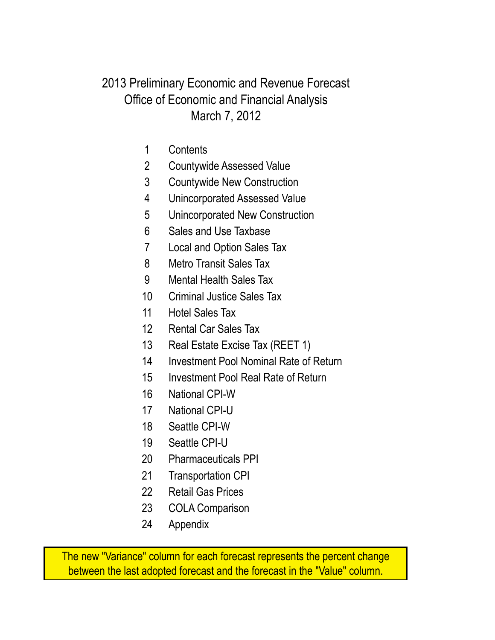#### March 7, 2012 Office of Economic and Financial Analysis 2013 Preliminary Economic and Revenue Forecast

- Contents
- Countywide Assessed Value
- Countywide New Construction
- Unincorporated Assessed Value
- Unincorporated New Construction
- Sales and Use Taxbase
- Local and Option Sales Tax
- Metro Transit Sales Tax
- Mental Health Sales Tax
- Criminal Justice Sales Tax
- Hotel Sales Tax
- Rental Car Sales Tax
- Real Estate Excise Tax (REET 1)
- Investment Pool Nominal Rate of Return
- Investment Pool Real Rate of Return
- National CPI-W
- National CPI-U
- Seattle CPI-W
- Seattle CPI-U
- Pharmaceuticals PPI
- Transportation CPI
- Retail Gas Prices
- COLA Comparison
- Appendix

The new "Variance" column for each forecast represents the percent change between the last adopted forecast and the forecast in the "Value" column.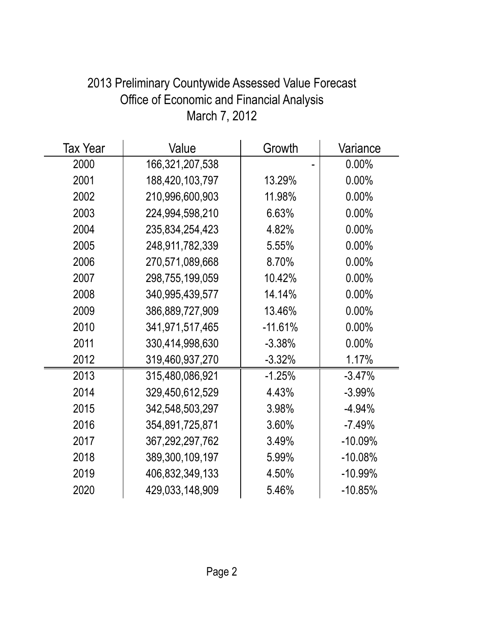| <b>Tax Year</b> | Value              | Growth    | Variance   |
|-----------------|--------------------|-----------|------------|
| 2000            | 166,321,207,538    |           | $0.00\%$   |
| 2001            | 188,420,103,797    | 13.29%    | $0.00\%$   |
| 2002            | 210,996,600,903    | 11.98%    | $0.00\%$   |
| 2003            | 224,994,598,210    | 6.63%     | $0.00\%$   |
| 2004            | 235,834,254,423    | 4.82%     | 0.00%      |
| 2005            | 248,911,782,339    | 5.55%     | 0.00%      |
| 2006            | 270,571,089,668    | 8.70%     | $0.00\%$   |
| 2007            | 298,755,199,059    | 10.42%    | $0.00\%$   |
| 2008            | 340,995,439,577    | 14.14%    | $0.00\%$   |
| 2009            | 386,889,727,909    | 13.46%    | $0.00\%$   |
| 2010            | 341,971,517,465    | $-11.61%$ | $0.00\%$   |
| 2011            | 330,414,998,630    | $-3.38%$  | $0.00\%$   |
| 2012            | 319,460,937,270    | $-3.32%$  | 1.17%      |
| 2013            | 315,480,086,921    | $-1.25%$  | $-3.47%$   |
| 2014            | 329,450,612,529    | 4.43%     | $-3.99%$   |
| 2015            | 342,548,503,297    | 3.98%     | $-4.94%$   |
| 2016            | 354,891,725,871    | 3.60%     | $-7.49%$   |
| 2017            | 367, 292, 297, 762 | 3.49%     | $-10.09\%$ |
| 2018            | 389,300,109,197    | 5.99%     | $-10.08%$  |
| 2019            | 406,832,349,133    | 4.50%     | $-10.99%$  |
| 2020            | 429,033,148,909    | 5.46%     | $-10.85%$  |

# 2013 Preliminary Countywide Assessed Value Forecast Office of Economic and Financial Analysis March 7, 2012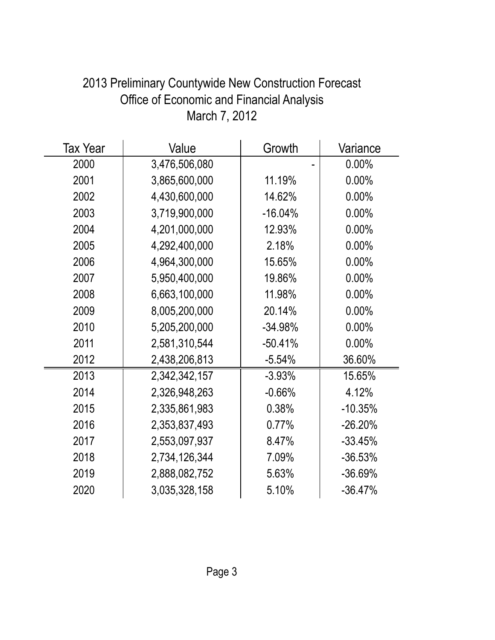| <b>Tax Year</b> | Value         | Growth    | Variance  |
|-----------------|---------------|-----------|-----------|
| 2000            | 3,476,506,080 |           | $0.00\%$  |
| 2001            | 3,865,600,000 | 11.19%    | 0.00%     |
| 2002            | 4,430,600,000 | 14.62%    | $0.00\%$  |
| 2003            | 3,719,900,000 | $-16.04%$ | $0.00\%$  |
| 2004            | 4,201,000,000 | 12.93%    | 0.00%     |
| 2005            | 4,292,400,000 | 2.18%     | $0.00\%$  |
| 2006            | 4,964,300,000 | 15.65%    | $0.00\%$  |
| 2007            | 5.950,400,000 | 19.86%    | 0.00%     |
| 2008            | 6,663,100,000 | 11.98%    | $0.00\%$  |
| 2009            | 8,005,200,000 | 20.14%    | 0.00%     |
| 2010            | 5,205,200,000 | $-34.98%$ | $0.00\%$  |
| 2011            | 2,581,310,544 | $-50.41%$ | $0.00\%$  |
| 2012            | 2,438,206,813 | $-5.54%$  | 36.60%    |
| 2013            | 2,342,342,157 | $-3.93\%$ | 15.65%    |
| 2014            | 2,326,948,263 | $-0.66%$  | 4.12%     |
| 2015            | 2,335,861,983 | 0.38%     | $-10.35%$ |
| 2016            | 2,353,837,493 | 0.77%     | $-26.20%$ |
| 2017            | 2,553,097,937 | 8.47%     | $-33.45%$ |
| 2018            | 2,734,126,344 | 7.09%     | $-36.53%$ |
| 2019            | 2,888,082,752 | 5.63%     | $-36.69%$ |
| 2020            | 3,035,328,158 | 5.10%     | $-36.47%$ |

## 2013 Preliminary Countywide New Construction Forecast Office of Economic and Financial Analysis March 7, 2012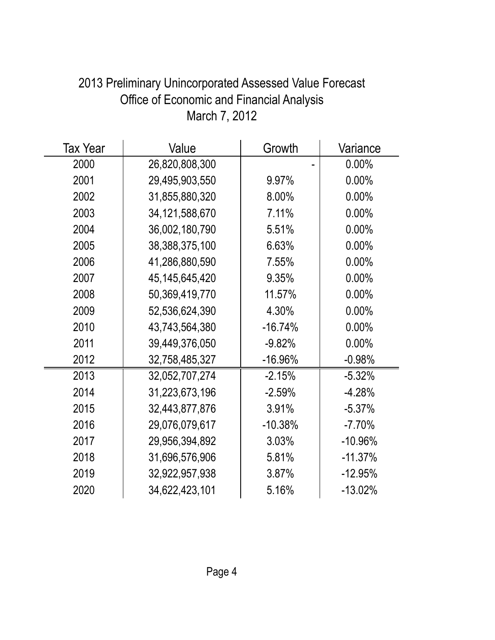| <b>Tax Year</b> | Value             | Growth    | Variance   |
|-----------------|-------------------|-----------|------------|
| 2000            | 26,820,808,300    |           | $0.00\%$   |
| 2001            | 29,495,903,550    | 9.97%     | $0.00\%$   |
| 2002            | 31,855,880,320    | 8.00%     | $0.00\%$   |
| 2003            | 34, 121, 588, 670 | 7.11%     | $0.00\%$   |
| 2004            | 36,002,180,790    | 5.51%     | $0.00\%$   |
| 2005            | 38,388,375,100    | 6.63%     | $0.00\%$   |
| 2006            | 41,286,880,590    | 7.55%     | $0.00\%$   |
| 2007            | 45, 145, 645, 420 | 9.35%     | $0.00\%$   |
| 2008            | 50,369,419,770    | 11.57%    | $0.00\%$   |
| 2009            | 52,536,624,390    | 4.30%     | $0.00\%$   |
| 2010            | 43,743,564,380    | $-16.74%$ | $0.00\%$   |
| 2011            | 39,449,376,050    | $-9.82%$  | $0.00\%$   |
| 2012            | 32,758,485,327    | $-16.96%$ | $-0.98%$   |
| 2013            | 32,052,707,274    | $-2.15%$  | $-5.32%$   |
| 2014            | 31,223,673,196    | $-2.59%$  | $-4.28%$   |
| 2015            | 32,443,877,876    | 3.91%     | $-5.37%$   |
| 2016            | 29,076,079,617    | $-10.38%$ | $-7.70%$   |
| 2017            | 29,956,394,892    | 3.03%     | $-10.96\%$ |
| 2018            | 31,696,576,906    | 5.81%     | $-11.37%$  |
| 2019            | 32,922,957,938    | 3.87%     | $-12.95%$  |
| 2020            | 34,622,423,101    | 5.16%     | $-13.02%$  |

## 2013 Preliminary Unincorporated Assessed Value Forecast Office of Economic and Financial Analysis March 7, 2012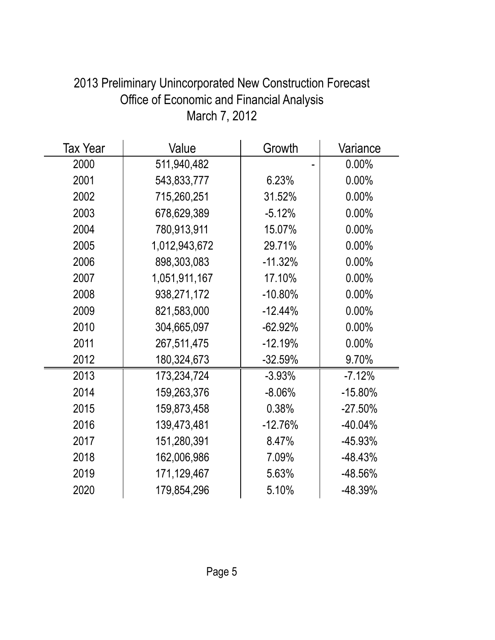| <b>Tax Year</b> | Value         | Growth     | Variance  |
|-----------------|---------------|------------|-----------|
| 2000            | 511,940,482   |            | $0.00\%$  |
| 2001            | 543,833,777   | 6.23%      | $0.00\%$  |
| 2002            | 715,260,251   | 31.52%     | $0.00\%$  |
| 2003            | 678,629,389   | $-5.12%$   | $0.00\%$  |
| 2004            | 780,913,911   | 15.07%     | 0.00%     |
| 2005            | 1,012,943,672 | 29.71%     | 0.00%     |
| 2006            | 898,303,083   | $-11.32%$  | 0.00%     |
| 2007            | 1,051,911,167 | 17.10%     | $0.00\%$  |
| 2008            | 938,271,172   | $-10.80%$  | 0.00%     |
| 2009            | 821,583,000   | $-12.44%$  | $0.00\%$  |
| 2010            | 304,665,097   | $-62.92\%$ | $0.00\%$  |
| 2011            | 267,511,475   | $-12.19%$  | $0.00\%$  |
| 2012            | 180,324,673   | $-32.59%$  | 9.70%     |
| 2013            | 173,234,724   | $-3.93%$   | $-7.12%$  |
| 2014            | 159,263,376   | $-8.06%$   | $-15.80%$ |
| 2015            | 159,873,458   | 0.38%      | $-27.50%$ |
| 2016            | 139,473,481   | $-12.76%$  | $-40.04%$ |
| 2017            | 151,280,391   | 8.47%      | -45.93%   |
| 2018            | 162,006,986   | 7.09%      | $-48.43%$ |
| 2019            | 171,129,467   | 5.63%      | -48.56%   |
| 2020            | 179,854,296   | 5.10%      | -48.39%   |

## 2013 Preliminary Unincorporated New Construction Forecast Office of Economic and Financial Analysis March 7, 2012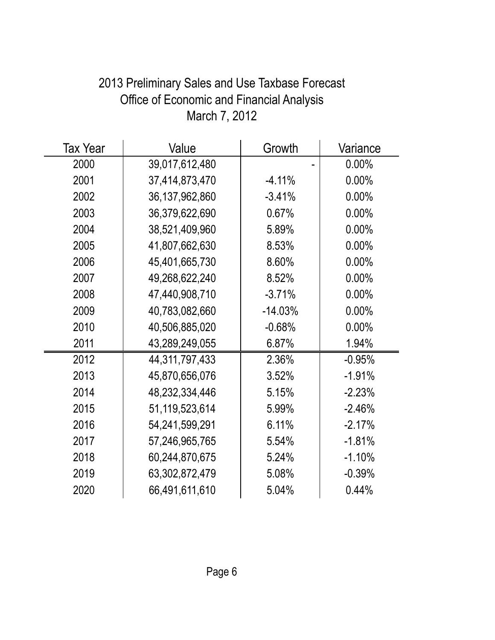| <b>Tax Year</b> | Value             | Growth    | Variance |
|-----------------|-------------------|-----------|----------|
| 2000            | 39,017,612,480    |           | $0.00\%$ |
| 2001            | 37,414,873,470    | $-4.11%$  | 0.00%    |
| 2002            | 36, 137, 962, 860 | $-3.41%$  | 0.00%    |
| 2003            | 36,379,622,690    | 0.67%     | 0.00%    |
| 2004            | 38,521,409,960    | 5.89%     | 0.00%    |
| 2005            | 41,807,662,630    | 8.53%     | 0.00%    |
| 2006            | 45,401,665,730    | 8.60%     | 0.00%    |
| 2007            | 49,268,622,240    | 8.52%     | 0.00%    |
| 2008            | 47,440,908,710    | $-3.71%$  | $0.00\%$ |
| 2009            | 40,783,082,660    | $-14.03%$ | $0.00\%$ |
| 2010            | 40,506,885,020    | $-0.68%$  | 0.00%    |
| 2011            | 43,289,249,055    | 6.87%     | 1.94%    |
| 2012            | 44, 311, 797, 433 | 2.36%     | $-0.95%$ |
| 2013            | 45,870,656,076    | 3.52%     | $-1.91%$ |
| 2014            | 48,232,334,446    | 5.15%     | $-2.23%$ |
| 2015            | 51,119,523,614    | 5.99%     | $-2.46%$ |
| 2016            | 54,241,599,291    | 6.11%     | $-2.17%$ |
| 2017            | 57,246,965,765    | 5.54%     | $-1.81%$ |
| 2018            | 60,244,870,675    | 5.24%     | $-1.10%$ |
| 2019            | 63,302,872,479    | 5.08%     | $-0.39%$ |
| 2020            | 66,491,611,610    | 5.04%     | 0.44%    |

# 2013 Preliminary Sales and Use Taxbase Forecast Office of Economic and Financial Analysis March 7, 2012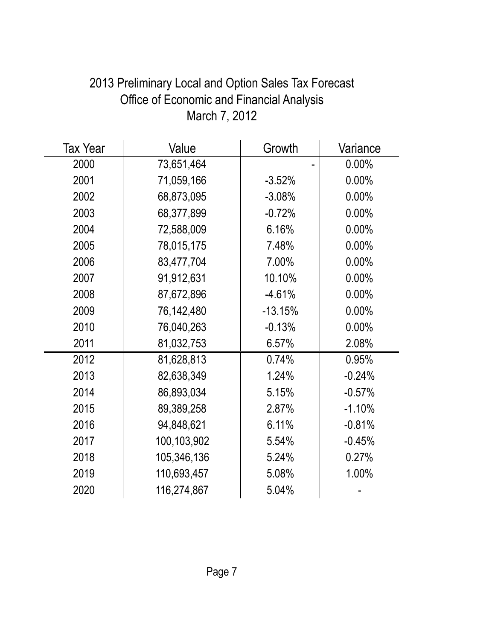| <b>Tax Year</b> | Value       | Growth    | Variance |
|-----------------|-------------|-----------|----------|
| 2000            | 73,651,464  |           | $0.00\%$ |
| 2001            | 71,059,166  | $-3.52%$  | 0.00%    |
| 2002            | 68,873,095  | $-3.08%$  | $0.00\%$ |
| 2003            | 68,377,899  | $-0.72%$  | 0.00%    |
| 2004            | 72,588,009  | 6.16%     | 0.00%    |
| 2005            | 78,015,175  | 7.48%     | $0.00\%$ |
| 2006            | 83,477,704  | 7.00%     | 0.00%    |
| 2007            | 91,912,631  | 10.10%    | $0.00\%$ |
| 2008            | 87,672,896  | $-4.61%$  | $0.00\%$ |
| 2009            | 76,142,480  | $-13.15%$ | 0.00%    |
| 2010            | 76,040,263  | $-0.13%$  | 0.00%    |
| 2011            | 81,032,753  | 6.57%     | 2.08%    |
| 2012            | 81,628,813  | 0.74%     | 0.95%    |
| 2013            | 82,638,349  | 1.24%     | $-0.24%$ |
| 2014            | 86,893,034  | 5.15%     | $-0.57%$ |
| 2015            | 89,389,258  | 2.87%     | $-1.10%$ |
| 2016            | 94,848,621  | 6.11%     | $-0.81%$ |
| 2017            | 100,103,902 | 5.54%     | $-0.45%$ |
| 2018            | 105,346,136 | 5.24%     | 0.27%    |
| 2019            | 110,693,457 | 5.08%     | 1.00%    |
| 2020            | 116,274,867 | 5.04%     |          |

# 2013 Preliminary Local and Option Sales Tax Forecast Office of Economic and Financial Analysis March 7, 2012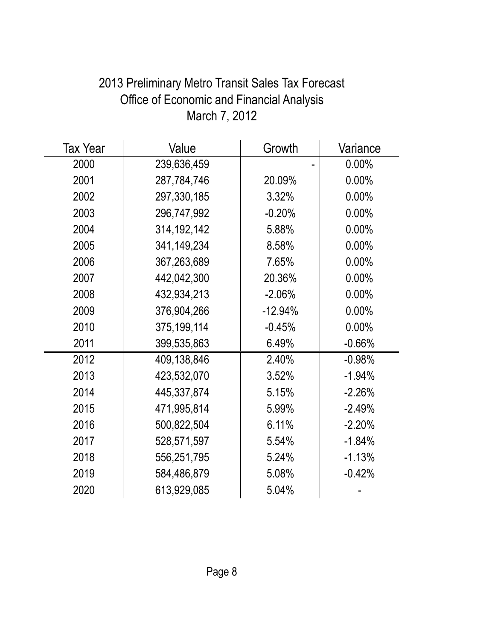| <b>Tax Year</b> | Value         | Growth    | Variance |
|-----------------|---------------|-----------|----------|
| 2000            | 239,636,459   |           | $0.00\%$ |
| 2001            | 287,784,746   | 20.09%    | $0.00\%$ |
| 2002            | 297,330,185   | 3.32%     | $0.00\%$ |
| 2003            | 296,747,992   | $-0.20%$  | 0.00%    |
| 2004            | 314, 192, 142 | 5.88%     | 0.00%    |
| 2005            | 341,149,234   | 8.58%     | $0.00\%$ |
| 2006            | 367,263,689   | 7.65%     | 0.00%    |
| 2007            | 442,042,300   | 20.36%    | $0.00\%$ |
| 2008            | 432,934,213   | $-2.06%$  | $0.00\%$ |
| 2009            | 376,904,266   | $-12.94%$ | 0.00%    |
| 2010            | 375,199,114   | $-0.45%$  | $0.00\%$ |
| 2011            | 399,535,863   | 6.49%     | $-0.66%$ |
| 2012            | 409,138,846   | 2.40%     | $-0.98%$ |
| 2013            | 423,532,070   | 3.52%     | $-1.94%$ |
| 2014            | 445,337,874   | 5.15%     | $-2.26%$ |
| 2015            | 471,995,814   | 5.99%     | $-2.49%$ |
| 2016            | 500,822,504   | 6.11%     | $-2.20%$ |
| 2017            | 528,571,597   | 5.54%     | $-1.84%$ |
| 2018            | 556,251,795   | 5.24%     | $-1.13%$ |
| 2019            | 584,486,879   | 5.08%     | $-0.42%$ |
| 2020            | 613,929,085   | 5.04%     |          |

# 2013 Preliminary Metro Transit Sales Tax Forecast Office of Economic and Financial Analysis March 7, 2012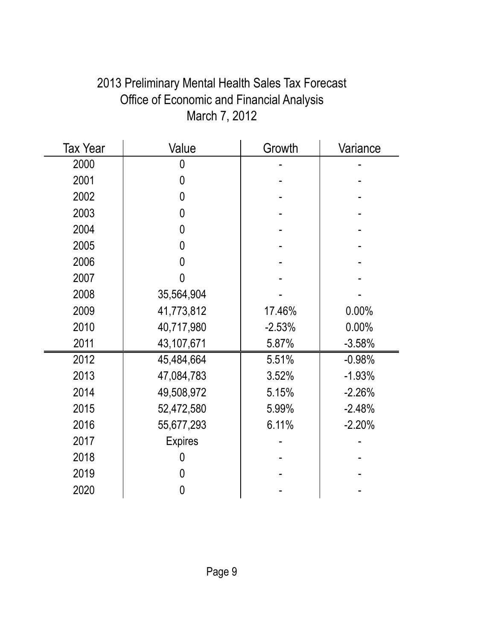| 2013 Preliminary Mental Health Sales Tax Forecast |
|---------------------------------------------------|
| <b>Office of Economic and Financial Analysis</b>  |
| March 7, 2012                                     |

| <b>Tax Year</b> | Value          | Growth   | Variance |
|-----------------|----------------|----------|----------|
| 2000            | 0              |          |          |
| 2001            | 0              |          |          |
| 2002            | 0              |          |          |
| 2003            | 0              |          |          |
| 2004            | 0              |          |          |
| 2005            | 0              |          |          |
| 2006            | 0              |          |          |
| 2007            | 0              |          |          |
| 2008            | 35,564,904     |          |          |
| 2009            | 41,773,812     | 17.46%   | 0.00%    |
| 2010            | 40,717,980     | $-2.53%$ | 0.00%    |
| 2011            | 43,107,671     | 5.87%    | $-3.58%$ |
| 2012            | 45,484,664     | 5.51%    | $-0.98%$ |
| 2013            | 47,084,783     | 3.52%    | $-1.93%$ |
| 2014            | 49,508,972     | 5.15%    | $-2.26%$ |
| 2015            | 52,472,580     | 5.99%    | $-2.48%$ |
| 2016            | 55,677,293     | 6.11%    | $-2.20%$ |
| 2017            | <b>Expires</b> |          |          |
| 2018            | 0              |          |          |
| 2019            | 0              |          |          |
| 2020            | 0              |          |          |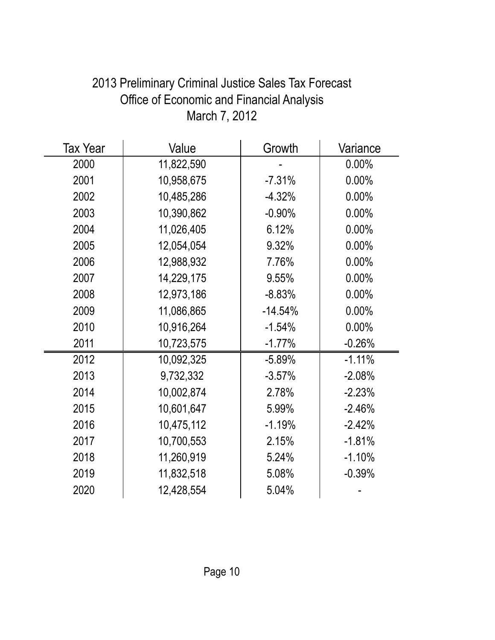| <b>Tax Year</b> | Value      | Growth    | Variance |
|-----------------|------------|-----------|----------|
| 2000            | 11,822,590 |           | $0.00\%$ |
| 2001            | 10,958,675 | $-7.31%$  | $0.00\%$ |
| 2002            | 10,485,286 | $-4.32%$  | $0.00\%$ |
| 2003            | 10,390,862 | $-0.90%$  | 0.00%    |
| 2004            | 11,026,405 | 6.12%     | 0.00%    |
| 2005            | 12,054,054 | 9.32%     | $0.00\%$ |
| 2006            | 12,988,932 | 7.76%     | 0.00%    |
| 2007            | 14,229,175 | 9.55%     | $0.00\%$ |
| 2008            | 12,973,186 | $-8.83%$  | $0.00\%$ |
| 2009            | 11,086,865 | $-14.54%$ | 0.00%    |
| 2010            | 10,916,264 | $-1.54%$  | $0.00\%$ |
| 2011            | 10,723,575 | $-1.77%$  | $-0.26%$ |
| 2012            | 10,092,325 | $-5.89%$  | $-1.11%$ |
| 2013            | 9,732,332  | $-3.57%$  | $-2.08%$ |
| 2014            | 10,002,874 | 2.78%     | $-2.23%$ |
| 2015            | 10,601,647 | 5.99%     | $-2.46%$ |
| 2016            | 10,475,112 | $-1.19%$  | $-2.42%$ |
| 2017            | 10,700,553 | 2.15%     | $-1.81%$ |
| 2018            | 11,260,919 | 5.24%     | $-1.10%$ |
| 2019            | 11,832,518 | 5.08%     | $-0.39%$ |
| 2020            | 12,428,554 | 5.04%     |          |

## 2013 Preliminary Criminal Justice Sales Tax Forecast Office of Economic and Financial Analysis March 7, 2012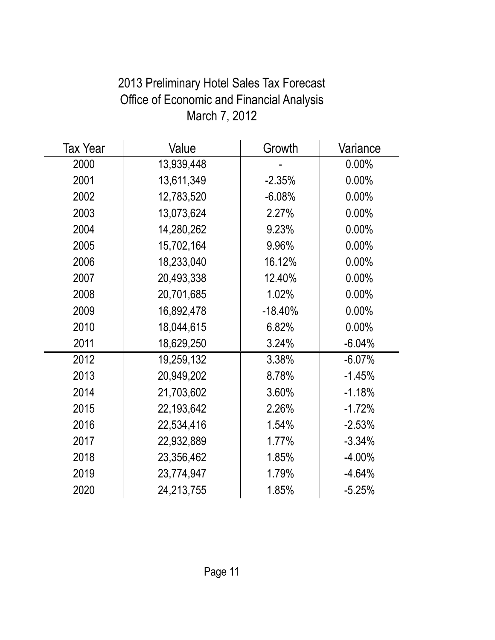| Tax Year | Value      | Growth    | Variance  |
|----------|------------|-----------|-----------|
| 2000     | 13,939,448 |           | $0.00\%$  |
| 2001     | 13,611,349 | $-2.35%$  | 0.00%     |
| 2002     | 12,783,520 | $-6.08%$  | $0.00\%$  |
| 2003     | 13,073,624 | 2.27%     | $0.00\%$  |
| 2004     | 14,280,262 | 9.23%     | 0.00%     |
| 2005     | 15,702,164 | 9.96%     | $0.00\%$  |
| 2006     | 18,233,040 | 16.12%    | $0.00\%$  |
| 2007     | 20,493,338 | 12.40%    | $0.00\%$  |
| 2008     | 20,701,685 | 1.02%     | $0.00\%$  |
| 2009     | 16,892,478 | $-18.40%$ | $0.00\%$  |
| 2010     | 18,044,615 | 6.82%     | $0.00\%$  |
| 2011     | 18,629,250 | 3.24%     | $-6.04%$  |
| 2012     | 19,259,132 | 3.38%     | $-6.07%$  |
| 2013     | 20,949,202 | 8.78%     | $-1.45%$  |
| 2014     | 21,703,602 | 3.60%     | $-1.18%$  |
| 2015     | 22,193,642 | 2.26%     | $-1.72%$  |
| 2016     | 22,534,416 | 1.54%     | $-2.53%$  |
| 2017     | 22,932,889 | 1.77%     | $-3.34%$  |
| 2018     | 23,356,462 | 1.85%     | $-4.00\%$ |
| 2019     | 23,774,947 | 1.79%     | $-4.64%$  |
| 2020     | 24,213,755 | 1.85%     | $-5.25%$  |

# 2013 Preliminary Hotel Sales Tax Forecast Office of Economic and Financial Analysis March 7, 2012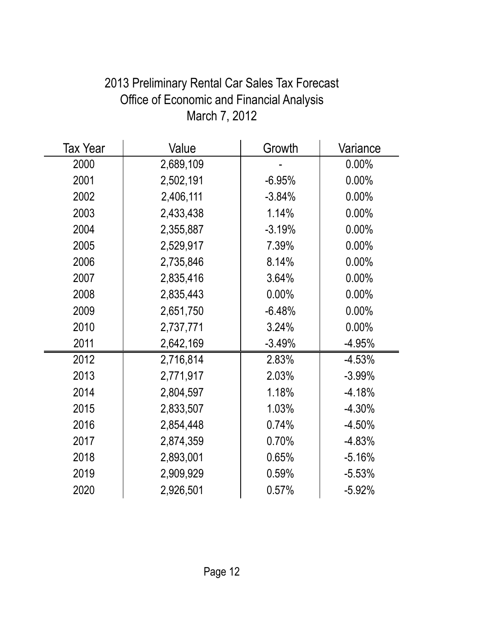| <b>Tax Year</b> | Value     | Growth   | Variance |
|-----------------|-----------|----------|----------|
| 2000            | 2,689,109 |          | 0.00%    |
| 2001            | 2,502,191 | $-6.95%$ | $0.00\%$ |
| 2002            | 2,406,111 | $-3.84%$ | $0.00\%$ |
| 2003            | 2,433,438 | 1.14%    | 0.00%    |
| 2004            | 2,355,887 | $-3.19%$ | 0.00%    |
| 2005            | 2,529,917 | 7.39%    | $0.00\%$ |
| 2006            | 2,735,846 | 8.14%    | $0.00\%$ |
| 2007            | 2,835,416 | 3.64%    | $0.00\%$ |
| 2008            | 2,835,443 | $0.00\%$ | $0.00\%$ |
| 2009            | 2,651,750 | $-6.48%$ | 0.00%    |
| 2010            | 2,737,771 | 3.24%    | $0.00\%$ |
| 2011            | 2,642,169 | $-3.49%$ | $-4.95%$ |
| 2012            | 2,716,814 | 2.83%    | $-4.53%$ |
| 2013            | 2,771,917 | 2.03%    | $-3.99%$ |
| 2014            | 2,804,597 | 1.18%    | $-4.18%$ |
| 2015            | 2,833,507 | 1.03%    | $-4.30%$ |
| 2016            | 2,854,448 | 0.74%    | $-4.50%$ |
| 2017            | 2,874,359 | 0.70%    | $-4.83%$ |
| 2018            | 2,893,001 | 0.65%    | $-5.16%$ |
| 2019            | 2,909,929 | 0.59%    | $-5.53%$ |
| 2020            | 2,926,501 | 0.57%    | $-5.92%$ |

# 2013 Preliminary Rental Car Sales Tax Forecast Office of Economic and Financial Analysis March 7, 2012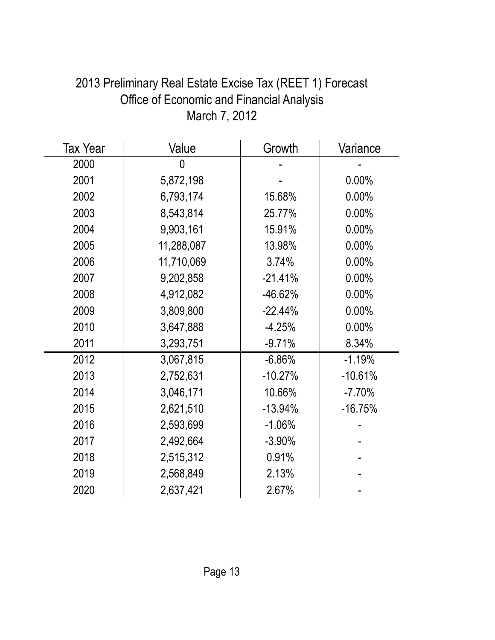| <b>Tax Year</b> | Value      | Growth    | Variance  |
|-----------------|------------|-----------|-----------|
| 2000            | 0          |           |           |
| 2001            | 5,872,198  |           | 0.00%     |
| 2002            | 6,793,174  | 15.68%    | $0.00\%$  |
| 2003            | 8,543,814  | 25.77%    | $0.00\%$  |
| 2004            | 9,903,161  | 15.91%    | 0.00%     |
| 2005            | 11,288,087 | 13.98%    | $0.00\%$  |
| 2006            | 11,710,069 | 3.74%     | 0.00%     |
| 2007            | 9,202,858  | $-21.41%$ | $0.00\%$  |
| 2008            | 4,912,082  | $-46.62%$ | $0.00\%$  |
| 2009            | 3,809,800  | $-22.44%$ | $0.00\%$  |
| 2010            | 3,647,888  | $-4.25%$  | 0.00%     |
| 2011            | 3,293,751  | $-9.71%$  | 8.34%     |
| 2012            | 3,067,815  | $-6.86%$  | $-1.19%$  |
| 2013            | 2,752,631  | $-10.27%$ | $-10.61%$ |
| 2014            | 3,046,171  | 10.66%    | $-7.70%$  |
| 2015            | 2,621,510  | $-13.94%$ | $-16.75%$ |
| 2016            | 2,593,699  | $-1.06%$  |           |
| 2017            | 2,492,664  | $-3.90%$  |           |
| 2018            | 2,515,312  | 0.91%     |           |
| 2019            | 2,568,849  | 2.13%     |           |
| 2020            | 2,637,421  | 2.67%     |           |

## 2013 Preliminary Real Estate Excise Tax (REET 1) Forecast Office of Economic and Financial Analysis March 7, 2012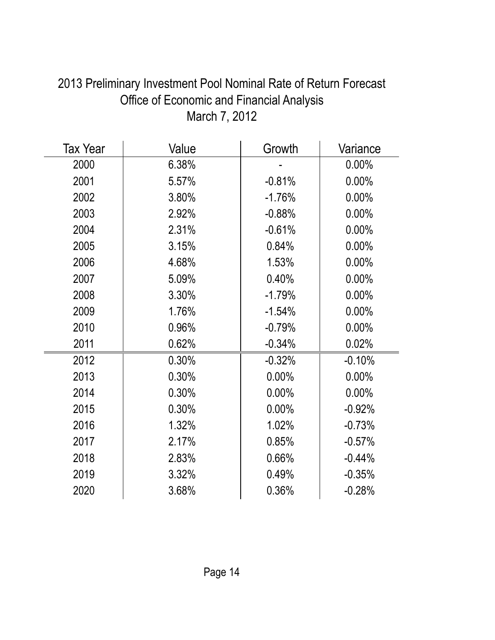| <b>Tax Year</b> | Value | Growth   | Variance |
|-----------------|-------|----------|----------|
| 2000            | 6.38% |          | $0.00\%$ |
| 2001            | 5.57% | $-0.81%$ | 0.00%    |
| 2002            | 3.80% | $-1.76%$ | 0.00%    |
| 2003            | 2.92% | $-0.88%$ | 0.00%    |
| 2004            | 2.31% | $-0.61%$ | $0.00\%$ |
| 2005            | 3.15% | 0.84%    | $0.00\%$ |
| 2006            | 4.68% | 1.53%    | 0.00%    |
| 2007            | 5.09% | 0.40%    | $0.00\%$ |
| 2008            | 3.30% | $-1.79%$ | 0.00%    |
| 2009            | 1.76% | $-1.54%$ | $0.00\%$ |
| 2010            | 0.96% | $-0.79%$ | 0.00%    |
| 2011            | 0.62% | $-0.34%$ | 0.02%    |
| 2012            | 0.30% | $-0.32%$ | $-0.10%$ |
| 2013            | 0.30% | $0.00\%$ | $0.00\%$ |
| 2014            | 0.30% | 0.00%    | $0.00\%$ |
| 2015            | 0.30% | 0.00%    | $-0.92%$ |
| 2016            | 1.32% | 1.02%    | $-0.73%$ |
| 2017            | 2.17% | 0.85%    | $-0.57%$ |
| 2018            | 2.83% | 0.66%    | $-0.44%$ |
| 2019            | 3.32% | 0.49%    | $-0.35%$ |
| 2020            | 3.68% | 0.36%    | $-0.28%$ |

# 2013 Preliminary Investment Pool Nominal Rate of Return Forecast Office of Economic and Financial Analysis March 7, 2012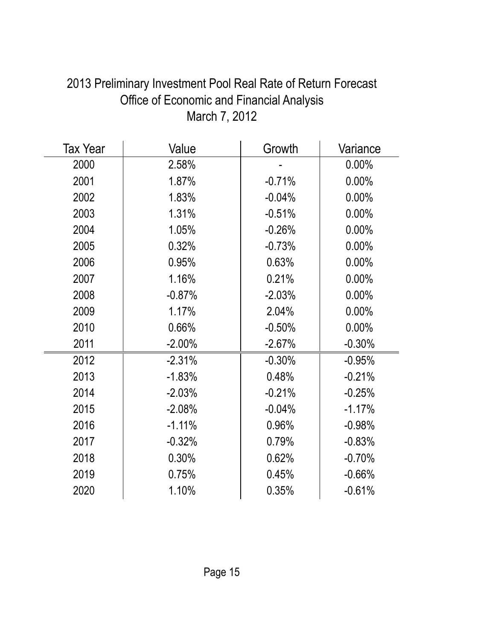| <b>Tax Year</b> | Value     | Growth   | Variance |
|-----------------|-----------|----------|----------|
| 2000            | 2.58%     |          | $0.00\%$ |
| 2001            | 1.87%     | $-0.71%$ | 0.00%    |
| 2002            | 1.83%     | $-0.04%$ | 0.00%    |
| 2003            | 1.31%     | $-0.51%$ | 0.00%    |
| 2004            | 1.05%     | $-0.26%$ | $0.00\%$ |
| 2005            | 0.32%     | $-0.73%$ | 0.00%    |
| 2006            | 0.95%     | 0.63%    | 0.00%    |
| 2007            | 1.16%     | 0.21%    | $0.00\%$ |
| 2008            | $-0.87%$  | $-2.03%$ | 0.00%    |
| 2009            | 1.17%     | 2.04%    | 0.00%    |
| 2010            | 0.66%     | $-0.50%$ | 0.00%    |
| 2011            | $-2.00\%$ | $-2.67%$ | $-0.30%$ |
| 2012            | $-2.31%$  | $-0.30%$ | $-0.95%$ |
| 2013            | $-1.83%$  | 0.48%    | $-0.21%$ |
| 2014            | $-2.03%$  | $-0.21%$ | $-0.25%$ |
| 2015            | $-2.08%$  | $-0.04%$ | $-1.17%$ |
| 2016            | $-1.11%$  | 0.96%    | $-0.98%$ |
| 2017            | $-0.32%$  | 0.79%    | $-0.83%$ |
| 2018            | 0.30%     | 0.62%    | $-0.70%$ |
| 2019            | 0.75%     | 0.45%    | $-0.66%$ |
| 2020            | 1.10%     | 0.35%    | $-0.61%$ |

# 2013 Preliminary Investment Pool Real Rate of Return Forecast Office of Economic and Financial Analysis March 7, 2012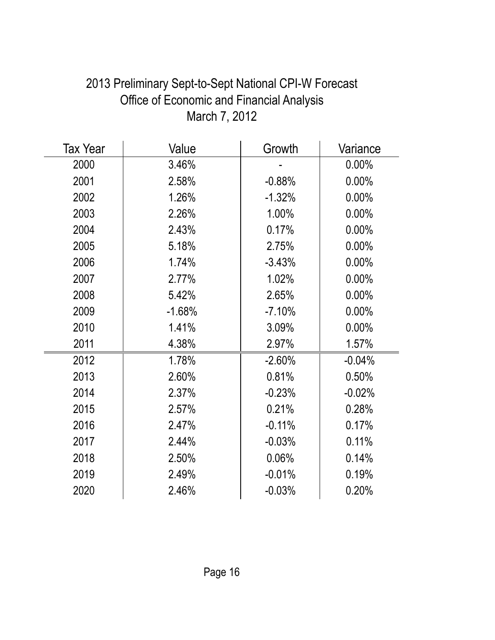| <b>Tax Year</b> | Value    | Growth   | Variance |
|-----------------|----------|----------|----------|
| 2000            | 3.46%    |          | 0.00%    |
| 2001            | 2.58%    | $-0.88%$ | 0.00%    |
| 2002            | 1.26%    | $-1.32%$ | $0.00\%$ |
| 2003            | 2.26%    | 1.00%    | 0.00%    |
| 2004            | 2.43%    | 0.17%    | 0.00%    |
| 2005            | 5.18%    | 2.75%    | $0.00\%$ |
| 2006            | 1.74%    | $-3.43%$ | 0.00%    |
| 2007            | 2.77%    | 1.02%    | 0.00%    |
| 2008            | 5.42%    | 2.65%    | 0.00%    |
| 2009            | $-1.68%$ | $-7.10%$ | 0.00%    |
| 2010            | 1.41%    | 3.09%    | 0.00%    |
| 2011            | 4.38%    | 2.97%    | 1.57%    |
| 2012            | 1.78%    | $-2.60%$ | $-0.04%$ |
| 2013            | 2.60%    | 0.81%    | 0.50%    |
| 2014            | 2.37%    | $-0.23%$ | $-0.02%$ |
| 2015            | 2.57%    | 0.21%    | 0.28%    |
| 2016            | 2.47%    | $-0.11%$ | 0.17%    |
| 2017            | 2.44%    | $-0.03%$ | 0.11%    |
| 2018            | 2.50%    | 0.06%    | 0.14%    |
| 2019            | 2.49%    | $-0.01%$ | 0.19%    |
| 2020            | 2.46%    | $-0.03%$ | 0.20%    |

# 2013 Preliminary Sept-to-Sept National CPI-W Forecast Office of Economic and Financial Analysis March 7, 2012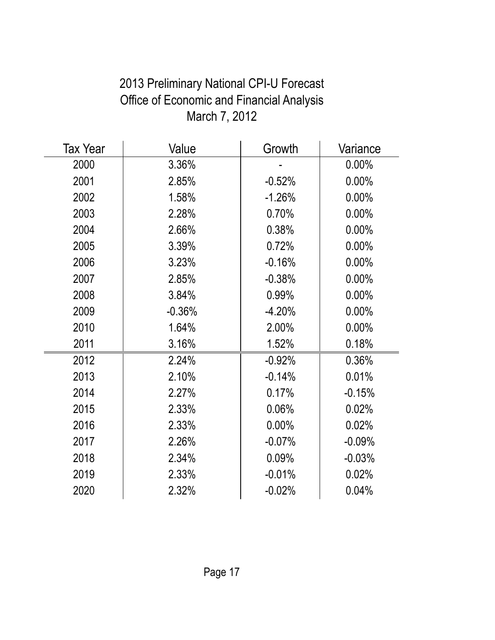| <b>Tax Year</b> | Value    | Growth   | Variance |
|-----------------|----------|----------|----------|
| 2000            | 3.36%    |          | $0.00\%$ |
| 2001            | 2.85%    | $-0.52%$ | 0.00%    |
| 2002            | 1.58%    | $-1.26%$ | $0.00\%$ |
| 2003            | 2.28%    | 0.70%    | 0.00%    |
| 2004            | 2.66%    | 0.38%    | 0.00%    |
| 2005            | 3.39%    | 0.72%    | $0.00\%$ |
| 2006            | 3.23%    | $-0.16%$ | 0.00%    |
| 2007            | 2.85%    | $-0.38%$ | $0.00\%$ |
| 2008            | 3.84%    | 0.99%    | $0.00\%$ |
| 2009            | $-0.36%$ | $-4.20%$ | 0.00%    |
| 2010            | 1.64%    | 2.00%    | $0.00\%$ |
| 2011            | 3.16%    | 1.52%    | 0.18%    |
| 2012            | 2.24%    | $-0.92%$ | 0.36%    |
| 2013            | 2.10%    | $-0.14%$ | 0.01%    |
| 2014            | 2.27%    | 0.17%    | $-0.15%$ |
| 2015            | 2.33%    | 0.06%    | 0.02%    |
| 2016            | 2.33%    | $0.00\%$ | 0.02%    |
| 2017            | 2.26%    | $-0.07%$ | $-0.09%$ |
| 2018            | 2.34%    | 0.09%    | $-0.03%$ |
| 2019            | 2.33%    | $-0.01%$ | 0.02%    |
| 2020            | 2.32%    | $-0.02%$ | 0.04%    |

# 2013 Preliminary National CPI-U Forecast Office of Economic and Financial Analysis March 7, 2012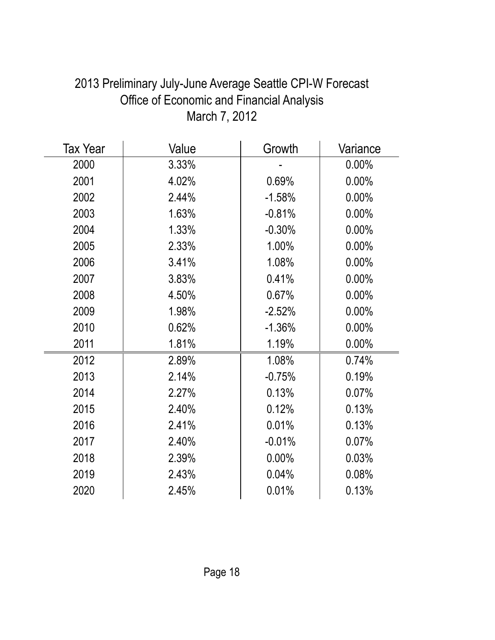| Tax Year | Value | Growth   | Variance |
|----------|-------|----------|----------|
| 2000     | 3.33% |          | 0.00%    |
| 2001     | 4.02% | 0.69%    | 0.00%    |
| 2002     | 2.44% | $-1.58%$ | 0.00%    |
| 2003     | 1.63% | $-0.81%$ | 0.00%    |
| 2004     | 1.33% | $-0.30%$ | $0.00\%$ |
| 2005     | 2.33% | 1.00%    | $0.00\%$ |
| 2006     | 3.41% | 1.08%    | 0.00%    |
| 2007     | 3.83% | 0.41%    | $0.00\%$ |
| 2008     | 4.50% | 0.67%    | 0.00%    |
| 2009     | 1.98% | $-2.52%$ | 0.00%    |
| 2010     | 0.62% | $-1.36%$ | $0.00\%$ |
| 2011     | 1.81% | 1.19%    | 0.00%    |
| 2012     | 2.89% | 1.08%    | 0.74%    |
| 2013     | 2.14% | $-0.75%$ | 0.19%    |
| 2014     | 2.27% | 0.13%    | 0.07%    |
| 2015     | 2.40% | 0.12%    | 0.13%    |
| 2016     | 2.41% | 0.01%    | 0.13%    |
| 2017     | 2.40% | $-0.01%$ | 0.07%    |
| 2018     | 2.39% | 0.00%    | 0.03%    |
| 2019     | 2.43% | 0.04%    | 0.08%    |
| 2020     | 2.45% | 0.01%    | 0.13%    |

# 2013 Preliminary July-June Average Seattle CPI-W Forecast Office of Economic and Financial Analysis March 7, 2012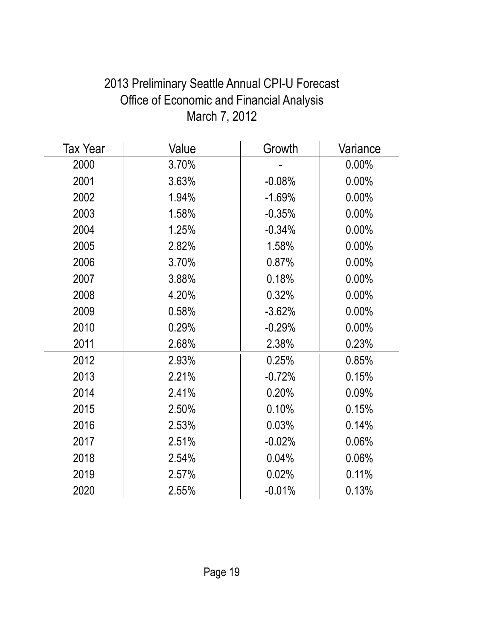| <b>Tax Year</b> | Value | Growth    | Variance |
|-----------------|-------|-----------|----------|
| 2000            | 3.70% |           | $0.00\%$ |
| 2001            | 3.63% | $-0.08%$  | 0.00%    |
| 2002            | 1.94% | $-1.69%$  | $0.00\%$ |
| 2003            | 1.58% | $-0.35%$  | 0.00%    |
| 2004            | 1.25% | $-0.34%$  | $0.00\%$ |
| 2005            | 2.82% | 1.58%     | $0.00\%$ |
| 2006            | 3.70% | 0.87%     | 0.00%    |
| 2007            | 3.88% | 0.18%     | 0.00%    |
| 2008            | 4.20% | 0.32%     | $0.00\%$ |
| 2009            | 0.58% | $-3.62%$  | 0.00%    |
| 2010            | 0.29% | $-0.29%$  | 0.00%    |
| 2011            | 2.68% | 2.38%     | 0.23%    |
| 2012            | 2.93% | 0.25%     | 0.85%    |
| 2013            | 2.21% | $-0.72%$  | 0.15%    |
| 2014            | 2.41% | 0.20%     | 0.09%    |
| 2015            | 2.50% | 0.10%     | 0.15%    |
| 2016            | 2.53% | 0.03%     | 0.14%    |
| 2017            | 2.51% | $-0.02%$  | 0.06%    |
| 2018            | 2.54% | 0.04%     | 0.06%    |
| 2019            | 2.57% | 0.02%     | 0.11%    |
| 2020            | 2.55% | $-0.01\%$ | 0.13%    |

# 2013 Preliminary Seattle Annual CPI-U Forecast Office of Economic and Financial Analysis March 7, 2012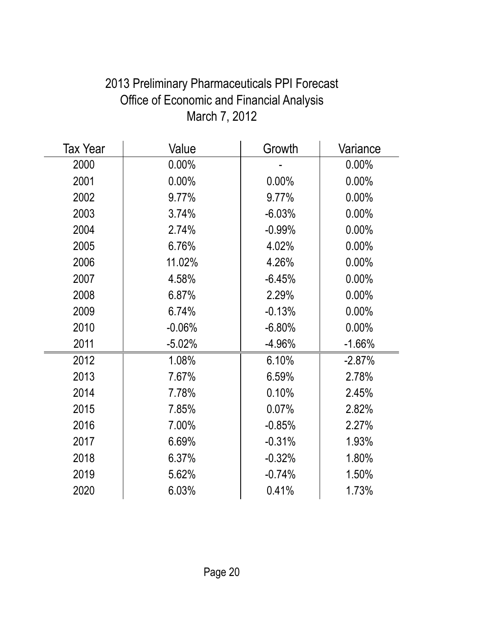| <b>Tax Year</b> | Value    | Growth    | Variance |
|-----------------|----------|-----------|----------|
| 2000            | $0.00\%$ |           | $0.00\%$ |
| 2001            | 0.00%    | 0.00%     | 0.00%    |
| 2002            | 9.77%    | 9.77%     | $0.00\%$ |
| 2003            | 3.74%    | $-6.03%$  | 0.00%    |
| 2004            | 2.74%    | $-0.99\%$ | $0.00\%$ |
| 2005            | 6.76%    | 4.02%     | $0.00\%$ |
| 2006            | 11.02%   | 4.26%     | 0.00%    |
| 2007            | 4.58%    | $-6.45%$  | 0.00%    |
| 2008            | 6.87%    | 2.29%     | $0.00\%$ |
| 2009            | 6.74%    | $-0.13%$  | $0.00\%$ |
| 2010            | $-0.06%$ | $-6.80%$  | $0.00\%$ |
| 2011            | $-5.02%$ | $-4.96%$  | $-1.66%$ |
| 2012            | 1.08%    | 6.10%     | $-2.87%$ |
| 2013            | 7.67%    | 6.59%     | 2.78%    |
| 2014            | 7.78%    | 0.10%     | 2.45%    |
| 2015            | 7.85%    | 0.07%     | 2.82%    |
| 2016            | 7.00%    | $-0.85%$  | 2.27%    |
| 2017            | 6.69%    | $-0.31%$  | 1.93%    |
| 2018            | 6.37%    | $-0.32%$  | 1.80%    |
| 2019            | 5.62%    | $-0.74%$  | 1.50%    |
| 2020            | 6.03%    | 0.41%     | 1.73%    |

# 2013 Preliminary Pharmaceuticals PPI Forecast Office of Economic and Financial Analysis March 7, 2012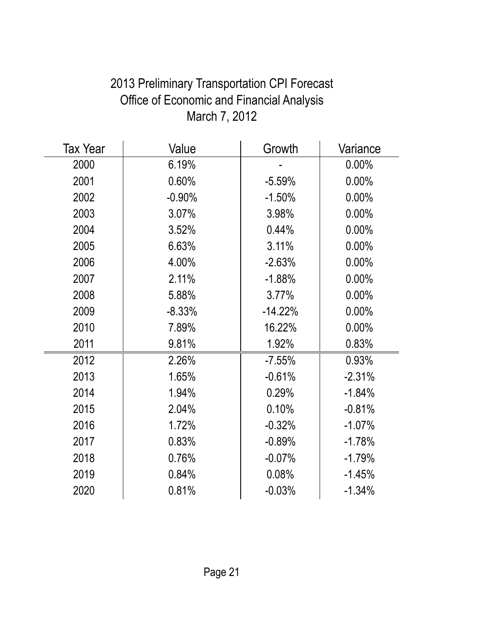| <b>Tax Year</b> | Value    | Growth    | Variance |
|-----------------|----------|-----------|----------|
| 2000            | 6.19%    |           | 0.00%    |
| 2001            | 0.60%    | $-5.59%$  | 0.00%    |
| 2002            | $-0.90%$ | $-1.50%$  | 0.00%    |
| 2003            | 3.07%    | 3.98%     | $0.00\%$ |
| 2004            | 3.52%    | 0.44%     | $0.00\%$ |
| 2005            | 6.63%    | 3.11%     | $0.00\%$ |
| 2006            | 4.00%    | $-2.63%$  | 0.00%    |
| 2007            | 2.11%    | $-1.88%$  | $0.00\%$ |
| 2008            | 5.88%    | 3.77%     | $0.00\%$ |
| 2009            | $-8.33%$ | $-14.22%$ | 0.00%    |
| 2010            | 7.89%    | 16.22%    | $0.00\%$ |
| 2011            | 9.81%    | 1.92%     | 0.83%    |
| 2012            | 2.26%    | $-7.55%$  | 0.93%    |
| 2013            | 1.65%    | $-0.61%$  | $-2.31%$ |
| 2014            | 1.94%    | 0.29%     | $-1.84%$ |
| 2015            | 2.04%    | 0.10%     | $-0.81%$ |
| 2016            | 1.72%    | $-0.32%$  | $-1.07%$ |
| 2017            | 0.83%    | $-0.89%$  | $-1.78%$ |
| 2018            | 0.76%    | $-0.07%$  | $-1.79%$ |
| 2019            | 0.84%    | 0.08%     | $-1.45%$ |
| 2020            | 0.81%    | $-0.03%$  | $-1.34%$ |

# 2013 Preliminary Transportation CPI Forecast Office of Economic and Financial Analysis March 7, 2012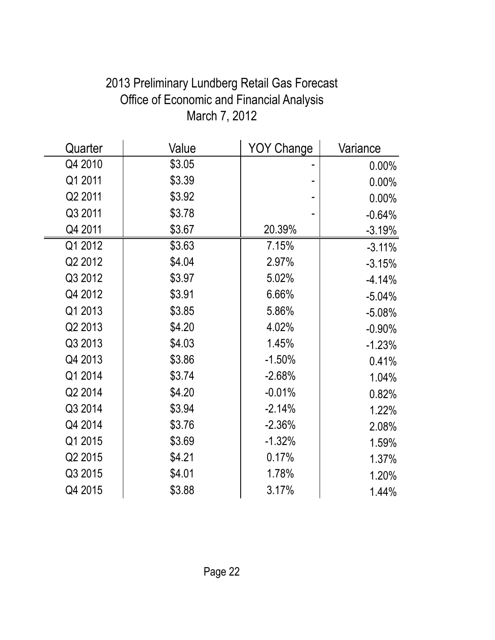| Quarter | Value  | <b>YOY Change</b> | Variance |
|---------|--------|-------------------|----------|
| Q4 2010 | \$3.05 |                   | $0.00\%$ |
| Q1 2011 | \$3.39 |                   | 0.00%    |
| Q2 2011 | \$3.92 |                   | 0.00%    |
| Q3 2011 | \$3.78 |                   | $-0.64%$ |
| Q4 2011 | \$3.67 | 20.39%            | $-3.19%$ |
| Q1 2012 | \$3.63 | 7.15%             | $-3.11%$ |
| Q2 2012 | \$4.04 | 2.97%             | $-3.15%$ |
| Q3 2012 | \$3.97 | 5.02%             | $-4.14%$ |
| Q4 2012 | \$3.91 | 6.66%             | $-5.04%$ |
| Q1 2013 | \$3.85 | 5.86%             | $-5.08%$ |
| Q2 2013 | \$4.20 | 4.02%             | $-0.90%$ |
| Q3 2013 | \$4.03 | 1.45%             | $-1.23%$ |
| Q4 2013 | \$3.86 | $-1.50%$          | 0.41%    |
| Q1 2014 | \$3.74 | $-2.68%$          | 1.04%    |
| Q2 2014 | \$4.20 | $-0.01%$          | 0.82%    |
| Q3 2014 | \$3.94 | $-2.14%$          | 1.22%    |
| Q4 2014 | \$3.76 | $-2.36%$          | 2.08%    |
| Q1 2015 | \$3.69 | $-1.32%$          | 1.59%    |
| Q2 2015 | \$4.21 | 0.17%             | 1.37%    |
| Q3 2015 | \$4.01 | 1.78%             | 1.20%    |
| Q4 2015 | \$3.88 | 3.17%             | 1.44%    |

## 2013 Preliminary Lundberg Retail Gas Forecast Office of Economic and Financial Analysis March 7, 2012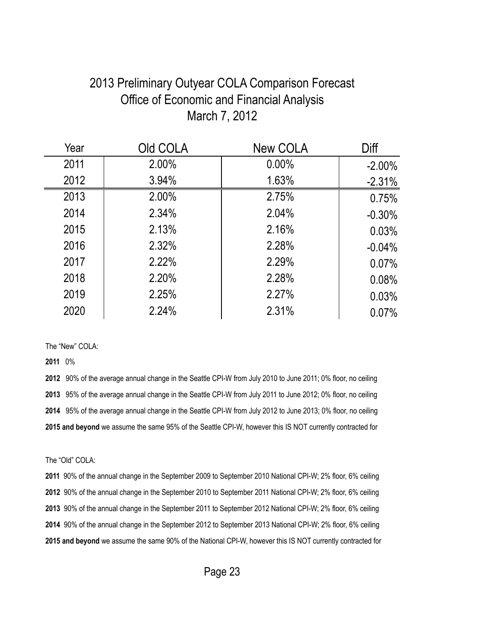#### 2013 Preliminary Outyear COLA Comparison Forecast Office of Economic and Financial Analysis March 7, 2012

| Year | Old COLA | <b>New COLA</b> | Diff      |
|------|----------|-----------------|-----------|
| 2011 | 2.00%    | $0.00\%$        | $-2.00\%$ |
| 2012 | 3.94%    | 1.63%           | $-2.31%$  |
| 2013 | 2.00%    | 2.75%           | 0.75%     |
| 2014 | 2.34%    | 2.04%           | $-0.30%$  |
| 2015 | 2.13%    | 2.16%           | 0.03%     |
| 2016 | 2.32%    | 2.28%           | $-0.04%$  |
| 2017 | 2.22%    | 2.29%           | 0.07%     |
| 2018 | 2.20%    | 2.28%           | 0.08%     |
| 2019 | 2.25%    | 2.27%           | 0.03%     |
| 2020 | 2.24%    | 2.31%           | 0.07%     |
|      |          |                 |           |

The "New" COLA:

0%

 90% of the average annual change in the Seattle CPI-W from July 2010 to June 2011; 0% floor, no ceiling 95% of the average annual change in the Seattle CPI-W from July 2011 to June 2012; 0% floor, no ceiling 95% of the average annual change in the Seattle CPI-W from July 2012 to June 2013; 0% floor, no ceiling **2015 and beyond** we assume the same 95% of the Seattle CPI-W, however this IS NOT currently contracted for

The "Old" COLA:

 90% of the annual change in the September 2009 to September 2010 National CPI-W; 2% floor, 6% ceiling 90% of the annual change in the September 2010 to September 2011 National CPI-W; 2% floor, 6% ceiling 90% of the annual change in the September 2011 to September 2012 National CPI-W; 2% floor, 6% ceiling 90% of the annual change in the September 2012 to September 2013 National CPI-W; 2% floor, 6% ceiling **2015 and beyond** we assume the same 90% of the National CPI-W, however this IS NOT currently contracted for